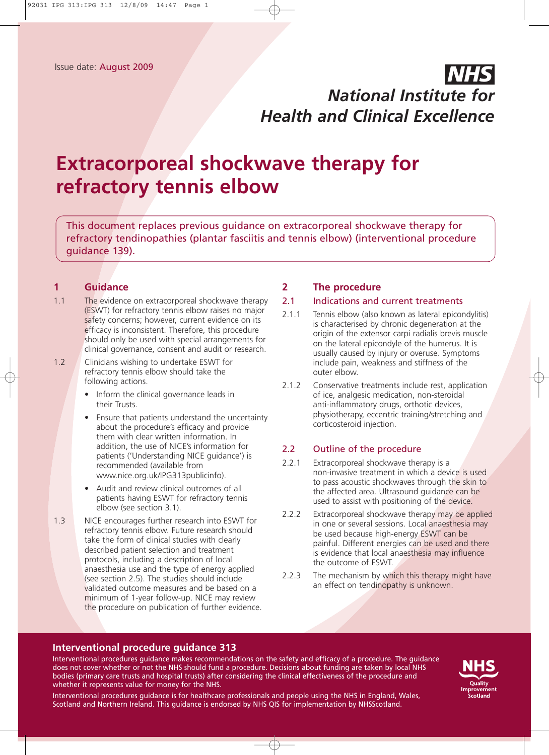## *NHS National Institute for Health and Clinical Excellence*

# **Extracorporeal shockwave therapy for refractory tennis elbow**

This document replaces previous guidance on extracorporeal shockwave therapy for refractory tendinopathies (plantar fasciitis and tennis elbow) (interventional procedure guidance 139).

## **1 Guidance**

- 1.1 The evidence on extracorporeal shockwave therapy (ESWT) for refractory tennis elbow raises no major safety concerns; however, current evidence on its efficacy is inconsistent. Therefore, this procedure should only be used with special arrangements for clinical governance, consent and audit or research.
- 1.2 Clinicians wishing to undertake ESWT for refractory tennis elbow should take the following actions.
	- Inform the clinical governance leads in their Trusts.
	- Ensure that patients understand the uncertainty about the procedure's efficacy and provide them with clear written information. In addition, the use of NICE's information for patients ('Understanding NICE guidance') is recommended (available from www.nice.org.uk/IPG313publicinfo).
	- Audit and review clinical outcomes of all patients having ESWT for refractory tennis elbow (see section 3.1).
- 1.3 NICE encourages further research into ESWT for refractory tennis elbow. Future research should take the form of clinical studies with clearly described patient selection and treatment protocols, including a description of local anaesthesia use and the type of energy applied (see section 2.5). The studies should include validated outcome measures and be based on a minimum of 1-year follow-up. NICE may review the procedure on publication of further evidence.

## **2 The procedure**

#### 2.1 Indications and current treatments

- 2.1.1 Tennis elbow (also known as lateral epicondylitis) is characterised by chronic degeneration at the origin of the extensor carpi radialis brevis muscle on the lateral epicondyle of the humerus. It is usually caused by injury or overuse. Symptoms include pain, weakness and stiffness of the outer elbow.
- 2.1.2 Conservative treatments include rest, application of ice, analgesic medication, non-steroidal anti-inflammatory drugs, orthotic devices, physiotherapy, eccentric training/stretching and corticosteroid injection.

## 2.2 Outline of the procedure

- 2.2.1 Extracorporeal shockwave therapy is a non-invasive treatment in which a device is used to pass acoustic shockwaves through the skin to the affected area. Ultrasound guidance can be used to assist with positioning of the device.
- 2.2.2 Extracorporeal shockwave therapy may be applied in one or several sessions. Local anaesthesia may be used because high-energy ESWT can be painful. Different energies can be used and there is evidence that local anaesthesia may influence the outcome of ESWT.
- 2.2.3 The mechanism by which this therapy might have an effect on tendinopathy is unknown.

#### **Interventional procedure guidance 313**

Interventional procedures guidance makes recommendations on the safety and efficacy of a procedure. The guidance does not cover whether or not the NHS should fund a procedure. Decisions about funding are taken by local NHS bodies (primary care trusts and hospital trusts) after considering the clinical effectiveness of the procedure and whether it represents value for money for the NHS.



Interventional procedures guidance is for healthcare professionals and people using the NHS in England, Wales, Scotland and Northern Ireland. This guidance is endorsed by NHS QIS for implementation by NHSScotland.